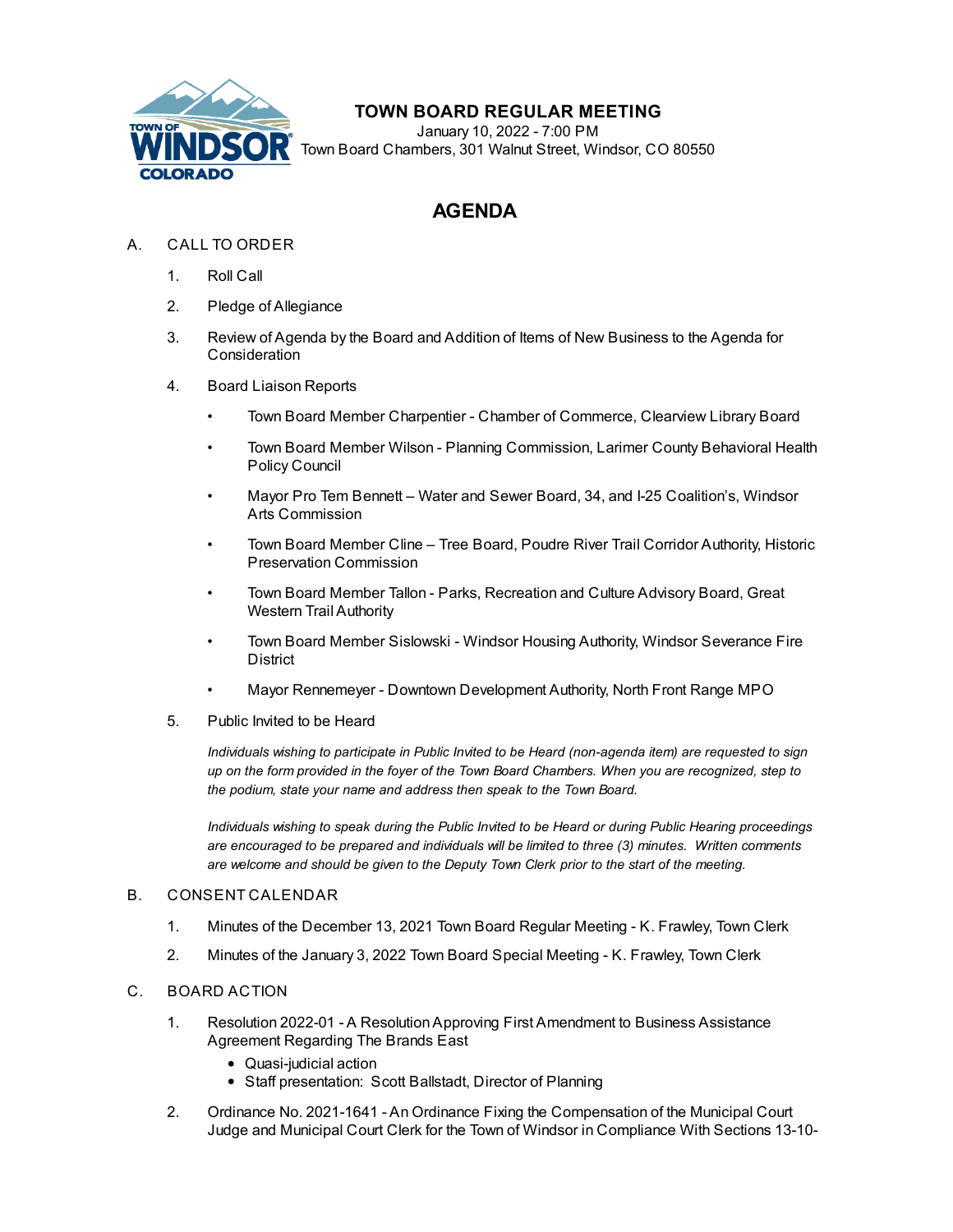

# **TOWN BOARD REGULAR MEETING**

January 10, 2022 - 7:00 PM Town Board Chambers, 301 Walnut Street, Windsor, CO 80550

# **AGENDA**

## A. CALL TO ORDER

- 1. Roll Call
- 2. Pledge of Allegiance
- 3. Review of Agenda by the Board and Addition of Items of New Business to the Agenda for **Consideration**
- 4. Board Liaison Reports
	- Town Board Member Charpentier Chamber of Commerce, Clearview Library Board
	- Town Board Member Wilson Planning Commission, Larimer County Behavioral Health Policy Council
	- Mayor Pro Tem Bennett Water and Sewer Board, 34, and I-25 Coalition's, Windsor Arts Commission
	- Town Board Member Cline Tree Board, Poudre River Trail Corridor Authority, Historic Preservation Commission
	- Town Board Member Tallon Parks, Recreation and Culture Advisory Board, Great Western Trail Authority
	- Town Board Member Sislowski Windsor Housing Authority, Windsor Severance Fire District
	- Mayor Rennemeyer Downtown Development Authority, North Front Range MPO
- 5. Public Invited to be Heard

*Individuals wishing to participate in Public Invited to be Heard (non-agenda item) are requested to sign* up on the form provided in the foyer of the Town Board Chambers. When you are recognized, step to *the podium, state your name and address then speak to the Town Board.*

*Individuals wishing to speak during the Public Invited to be Heard or during Public Hearing proceedings are encouraged to be prepared and individuals will be limited to three (3) minutes. Written comments are welcome and should be given to the Deputy Town Clerk prior to the start of the meeting.*

#### B. CONSENT CALENDAR

- 1. Minutes of the [December](file:///C:/Windows/TEMP/CoverSheet.aspx?ItemID=1882&MeetingID=335) 13, 2021 Town Board Regular Meeting K. Frawley, Town Clerk
- 2. Minutes of the January 3, 2022 Town Board Special Meeting K. [Frawley,](file:///C:/Windows/TEMP/CoverSheet.aspx?ItemID=1885&MeetingID=335) Town Clerk

### C. BOARD ACTION

- 1. Resolution 2022-01 A [ResolutionApproving](file:///C:/Windows/TEMP/CoverSheet.aspx?ItemID=1870&MeetingID=335) First Amendment to Business Assistance Agreement Regarding The Brands East
	- Quasi-judicial action
	- Staff presentation: Scott Ballstadt, Director of Planning
- 2. Ordinance No. 2021-1641 An Ordinance Fixing the [Compensation](file:///C:/Windows/TEMP/CoverSheet.aspx?ItemID=1868&MeetingID=335) of the Municipal Court Judge and Municipal Court Clerk for the Town of Windsor in Compliance With Sections 13-10-